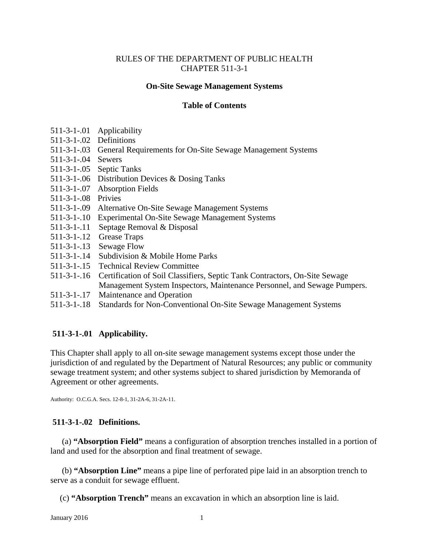#### RULES OF THE DEPARTMENT OF PUBLIC HEALTH CHAPTER 511-3-1

#### **On-Site Sewage Management Systems**

#### **Table of Contents**

- 511-3-1-.01 Applicability
- 511-3-1-.02 Definitions
- 511-3-1-.03 General Requirements for On-Site Sewage Management Systems
- 511-3-1-.04 Sewers
- 511-3-1-.05 Septic Tanks
- 511-3-1-.06 Distribution Devices & Dosing Tanks
- 511-3-1-.07 Absorption Fields
- 511-3-1-.08 Privies
- 511-3-1-.09 Alternative On-Site Sewage Management Systems
- 511-3-1-.10 Experimental On-Site Sewage Management Systems
- 511-3-1-.11 Septage Removal & Disposal
- 511-3-1-.12 Grease Traps
- 511-3-1-.13 Sewage Flow
- 511-3-1-.14 Subdivision & Mobile Home Parks
- 511-3-1-.15 Technical Review Committee
- 511-3-1-.16 Certification of Soil Classifiers, Septic Tank Contractors, On-Site Sewage Management System Inspectors, Maintenance Personnel, and Sewage Pumpers.
- 511-3-1-.17 Maintenance and Operation
- 511-3-1-.18 Standards for Non-Conventional On-Site Sewage Management Systems

#### **511-3-1-.01 Applicability.**

This Chapter shall apply to all on-site sewage management systems except those under the jurisdiction of and regulated by the Department of Natural Resources; any public or community sewage treatment system; and other systems subject to shared jurisdiction by Memoranda of Agreement or other agreements.

Authority: O.C.G.A. Secs. 12-8-1, 31-2A-6, 31-2A-11.

#### **511-3-1-.02 Definitions.**

 (a) **"Absorption Field"** means a configuration of absorption trenches installed in a portion of land and used for the absorption and final treatment of sewage.

 (b) **"Absorption Line"** means a pipe line of perforated pipe laid in an absorption trench to serve as a conduit for sewage effluent.

(c) **"Absorption Trench"** means an excavation in which an absorption line is laid.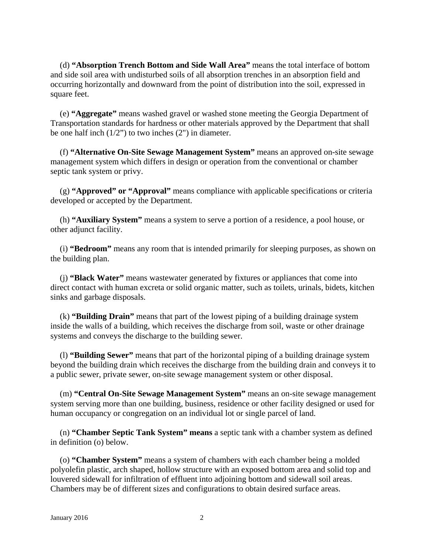(d) **"Absorption Trench Bottom and Side Wall Area"** means the total interface of bottom and side soil area with undisturbed soils of all absorption trenches in an absorption field and occurring horizontally and downward from the point of distribution into the soil, expressed in square feet.

 (e) **"Aggregate"** means washed gravel or washed stone meeting the Georgia Department of Transportation standards for hardness or other materials approved by the Department that shall be one half inch  $(1/2)$  to two inches  $(2)$  in diameter.

(f) **"Alternative On-Site Sewage Management System"** means an approved on-site sewage management system which differs in design or operation from the conventional or chamber septic tank system or privy.

(g) **"Approved" or "Approval"** means compliance with applicable specifications or criteria developed or accepted by the Department.

(h) **"Auxiliary System"** means a system to serve a portion of a residence, a pool house, or other adjunct facility.

(i) **"Bedroom"** means any room that is intended primarily for sleeping purposes, as shown on the building plan.

(j) **"Black Water"** means wastewater generated by fixtures or appliances that come into direct contact with human excreta or solid organic matter, such as toilets, urinals, bidets, kitchen sinks and garbage disposals.

(k) **"Building Drain"** means that part of the lowest piping of a building drainage system inside the walls of a building, which receives the discharge from soil, waste or other drainage systems and conveys the discharge to the building sewer.

(l) **"Building Sewer"** means that part of the horizontal piping of a building drainage system beyond the building drain which receives the discharge from the building drain and conveys it to a public sewer, private sewer, on-site sewage management system or other disposal.

(m) **"Central On-Site Sewage Management System"** means an on-site sewage management system serving more than one building, business, residence or other facility designed or used for human occupancy or congregation on an individual lot or single parcel of land.

(n) **"Chamber Septic Tank System" means** a septic tank with a chamber system as defined in definition (o) below.

(o) **"Chamber System"** means a system of chambers with each chamber being a molded polyolefin plastic, arch shaped, hollow structure with an exposed bottom area and solid top and louvered sidewall for infiltration of effluent into adjoining bottom and sidewall soil areas. Chambers may be of different sizes and configurations to obtain desired surface areas.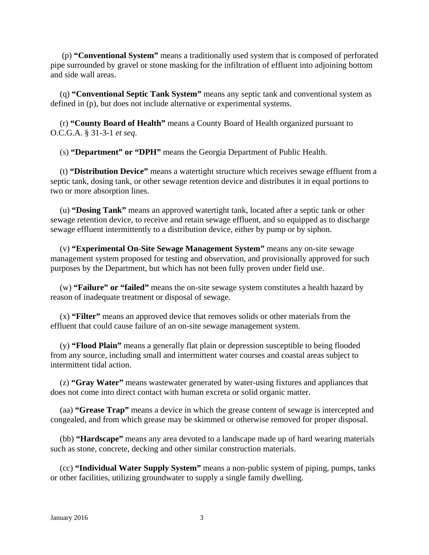(p) **"Conventional System"** means a traditionally used system that is composed of perforated pipe surrounded by gravel or stone masking for the infiltration of effluent into adjoining bottom and side wall areas.

(q) **"Conventional Septic Tank System"** means any septic tank and conventional system as defined in (p), but does not include alternative or experimental systems.

(r) **"County Board of Health"** means a County Board of Health organized pursuant to O.C.G.A. § 31-3-1 *et seq*.

(s) **"Department" or "DPH"** means the Georgia Department of Public Health.

(t) **"Distribution Device"** means a watertight structure which receives sewage effluent from a septic tank, dosing tank, or other sewage retention device and distributes it in equal portions to two or more absorption lines.

 (u) **"Dosing Tank"** means an approved watertight tank, located after a septic tank or other sewage retention device, to receive and retain sewage effluent, and so equipped as to discharge sewage effluent intermittently to a distribution device, either by pump or by siphon.

(v) **"Experimental On-Site Sewage Management System"** means any on-site sewage management system proposed for testing and observation, and provisionally approved for such purposes by the Department, but which has not been fully proven under field use.

(w) **"Failure" or "failed"** means the on-site sewage system constitutes a health hazard by reason of inadequate treatment or disposal of sewage.

(x) **"Filter"** means an approved device that removes solids or other materials from the effluent that could cause failure of an on-site sewage management system.

(y) **"Flood Plain"** means a generally flat plain or depression susceptible to being flooded from any source, including small and intermittent water courses and coastal areas subject to intermittent tidal action.

(z) **"Gray Water"** means wastewater generated by water-using fixtures and appliances that does not come into direct contact with human excreta or solid organic matter.

(aa) **"Grease Trap"** means a device in which the grease content of sewage is intercepted and congealed, and from which grease may be skimmed or otherwise removed for proper disposal.

(bb) **"Hardscape"** means any area devoted to a landscape made up of hard wearing materials such as stone, concrete, decking and other similar construction materials.

(cc) **"Individual Water Supply System"** means a non-public system of piping, pumps, tanks or other facilities, utilizing groundwater to supply a single family dwelling.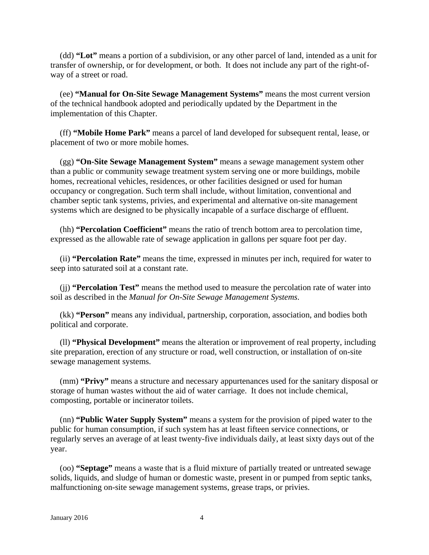(dd) **"Lot"** means a portion of a subdivision, or any other parcel of land, intended as a unit for transfer of ownership, or for development, or both. It does not include any part of the right-ofway of a street or road.

(ee) **"Manual for On-Site Sewage Management Systems"** means the most current version of the technical handbook adopted and periodically updated by the Department in the implementation of this Chapter.

(ff) **"Mobile Home Park"** means a parcel of land developed for subsequent rental, lease, or placement of two or more mobile homes.

(gg) **"On-Site Sewage Management System"** means a sewage management system other than a public or community sewage treatment system serving one or more buildings, mobile homes, recreational vehicles, residences, or other facilities designed or used for human occupancy or congregation. Such term shall include, without limitation, conventional and chamber septic tank systems, privies, and experimental and alternative on-site management systems which are designed to be physically incapable of a surface discharge of effluent.

(hh) **"Percolation Coefficient"** means the ratio of trench bottom area to percolation time, expressed as the allowable rate of sewage application in gallons per square foot per day.

(ii) **"Percolation Rate"** means the time, expressed in minutes per inch, required for water to seep into saturated soil at a constant rate.

(jj) **"Percolation Test"** means the method used to measure the percolation rate of water into soil as described in the *Manual for On-Site Sewage Management Systems*.

(kk) **"Person"** means any individual, partnership, corporation, association, and bodies both political and corporate.

(ll) **"Physical Development"** means the alteration or improvement of real property, including site preparation, erection of any structure or road, well construction, or installation of on-site sewage management systems.

(mm) **"Privy"** means a structure and necessary appurtenances used for the sanitary disposal or storage of human wastes without the aid of water carriage. It does not include chemical, composting, portable or incinerator toilets.

(nn) **"Public Water Supply System"** means a system for the provision of piped water to the public for human consumption, if such system has at least fifteen service connections, or regularly serves an average of at least twenty-five individuals daily, at least sixty days out of the year.

(oo) **"Septage"** means a waste that is a fluid mixture of partially treated or untreated sewage solids, liquids, and sludge of human or domestic waste, present in or pumped from septic tanks, malfunctioning on-site sewage management systems, grease traps, or privies.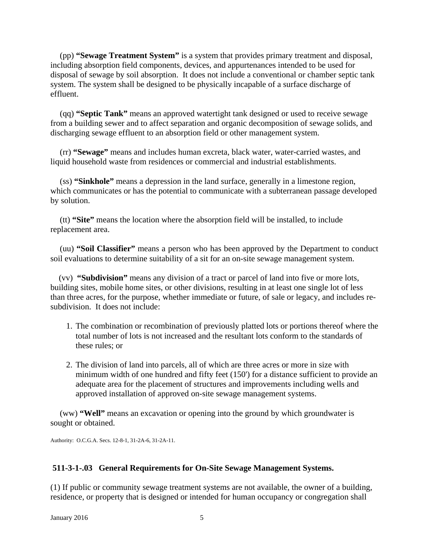(pp) **"Sewage Treatment System"** is a system that provides primary treatment and disposal, including absorption field components, devices, and appurtenances intended to be used for disposal of sewage by soil absorption. It does not include a conventional or chamber septic tank system. The system shall be designed to be physically incapable of a surface discharge of effluent.

(qq) **"Septic Tank"** means an approved watertight tank designed or used to receive sewage from a building sewer and to affect separation and organic decomposition of sewage solids, and discharging sewage effluent to an absorption field or other management system.

(rr) **"Sewage"** means and includes human excreta, black water, water-carried wastes, and liquid household waste from residences or commercial and industrial establishments.

(ss) **"Sinkhole"** means a depression in the land surface, generally in a limestone region, which communicates or has the potential to communicate with a subterranean passage developed by solution.

(tt) **"Site"** means the location where the absorption field will be installed, to include replacement area.

 (uu) **"Soil Classifier"** means a person who has been approved by the Department to conduct soil evaluations to determine suitability of a sit for an on-site sewage management system.

 (vv) **"Subdivision"** means any division of a tract or parcel of land into five or more lots, building sites, mobile home sites, or other divisions, resulting in at least one single lot of less than three acres, for the purpose, whether immediate or future, of sale or legacy, and includes resubdivision. It does not include:

- 1. The combination or recombination of previously platted lots or portions thereof where the total number of lots is not increased and the resultant lots conform to the standards of these rules; or
- 2. The division of land into parcels, all of which are three acres or more in size with minimum width of one hundred and fifty feet (150') for a distance sufficient to provide an adequate area for the placement of structures and improvements including wells and approved installation of approved on-site sewage management systems.

(ww) **"Well"** means an excavation or opening into the ground by which groundwater is sought or obtained.

Authority: O.C.G.A. Secs. 12-8-1, 31-2A-6, 31-2A-11.

## **511-3-1-.03 General Requirements for On-Site Sewage Management Systems.**

(1) If public or community sewage treatment systems are not available, the owner of a building, residence, or property that is designed or intended for human occupancy or congregation shall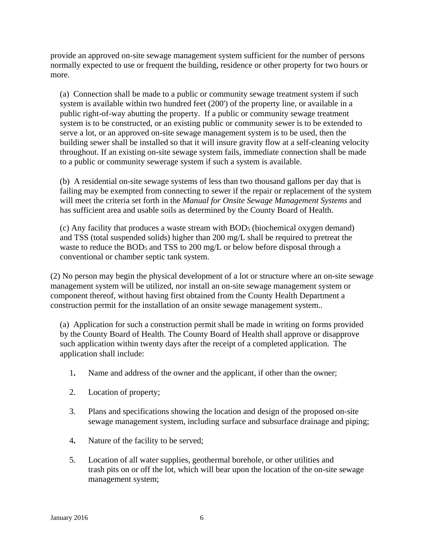provide an approved on-site sewage management system sufficient for the number of persons normally expected to use or frequent the building, residence or other property for two hours or more.

(a) Connection shall be made to a public or community sewage treatment system if such system is available within two hundred feet (200') of the property line, or available in a public right-of-way abutting the property. If a public or community sewage treatment system is to be constructed, or an existing public or community sewer is to be extended to serve a lot, or an approved on-site sewage management system is to be used, then the building sewer shall be installed so that it will insure gravity flow at a self-cleaning velocity throughout. If an existing on-site sewage system fails, immediate connection shall be made to a public or community sewerage system if such a system is available.

(b) A residential on-site sewage systems of less than two thousand gallons per day that is failing may be exempted from connecting to sewer if the repair or replacement of the system will meet the criteria set forth in the *Manual for Onsite Sewage Management Systems* and has sufficient area and usable soils as determined by the County Board of Health.

(c) Any facility that produces a waste stream with BOD5 (biochemical oxygen demand) and TSS (total suspended solids) higher than 200 mg/L shall be required to pretreat the waste to reduce the BOD<sub>5</sub> and TSS to 200 mg/L or below before disposal through a conventional or chamber septic tank system.

(2) No person may begin the physical development of a lot or structure where an on-site sewage management system will be utilized, nor install an on-site sewage management system or component thereof, without having first obtained from the County Health Department a construction permit for the installation of an onsite sewage management system..

(a) Application for such a construction permit shall be made in writing on forms provided by the County Board of Health. The County Board of Health shall approve or disapprove such application within twenty days after the receipt of a completed application. The application shall include:

- 1**.** Name and address of the owner and the applicant, if other than the owner;
- 2. Location of property;
- 3. Plans and specifications showing the location and design of the proposed on-site sewage management system, including surface and subsurface drainage and piping;
- 4**.** Nature of the facility to be served;
- 5. Location of all water supplies, geothermal borehole, or other utilities and trash pits on or off the lot, which will bear upon the location of the on-site sewage management system;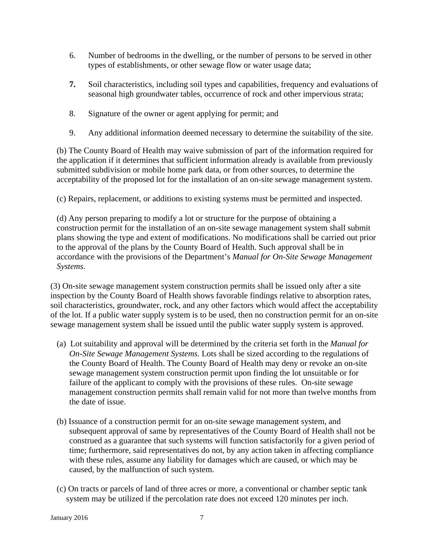- 6. Number of bedrooms in the dwelling, or the number of persons to be served in other types of establishments, or other sewage flow or water usage data;
- **7.** Soil characteristics, including soil types and capabilities, frequency and evaluations of seasonal high groundwater tables, occurrence of rock and other impervious strata;
- 8. Signature of the owner or agent applying for permit; and
- 9. Any additional information deemed necessary to determine the suitability of the site.

(b) The County Board of Health may waive submission of part of the information required for the application if it determines that sufficient information already is available from previously submitted subdivision or mobile home park data, or from other sources, to determine the acceptability of the proposed lot for the installation of an on-site sewage management system.

(c) Repairs, replacement, or additions to existing systems must be permitted and inspected.

(d) Any person preparing to modify a lot or structure for the purpose of obtaining a construction permit for the installation of an on-site sewage management system shall submit plans showing the type and extent of modifications. No modifications shall be carried out prior to the approval of the plans by the County Board of Health. Such approval shall be in accordance with the provisions of the Department's *Manual for On-Site Sewage Management Systems*.

(3) On-site sewage management system construction permits shall be issued only after a site inspection by the County Board of Health shows favorable findings relative to absorption rates, soil characteristics, groundwater, rock, and any other factors which would affect the acceptability of the lot. If a public water supply system is to be used, then no construction permit for an on-site sewage management system shall be issued until the public water supply system is approved.

- (a) Lot suitability and approval will be determined by the criteria set forth in the *Manual for On-Site Sewage Management Systems*. Lots shall be sized according to the regulations of the County Board of Health. The County Board of Health may deny or revoke an on-site sewage management system construction permit upon finding the lot unsuitable or for failure of the applicant to comply with the provisions of these rules. On-site sewage management construction permits shall remain valid for not more than twelve months from the date of issue.
- (b) Issuance of a construction permit for an on-site sewage management system, and subsequent approval of same by representatives of the County Board of Health shall not be construed as a guarantee that such systems will function satisfactorily for a given period of time; furthermore, said representatives do not, by any action taken in affecting compliance with these rules, assume any liability for damages which are caused, or which may be caused, by the malfunction of such system.
- (c) On tracts or parcels of land of three acres or more, a conventional or chamber septic tank system may be utilized if the percolation rate does not exceed 120 minutes per inch.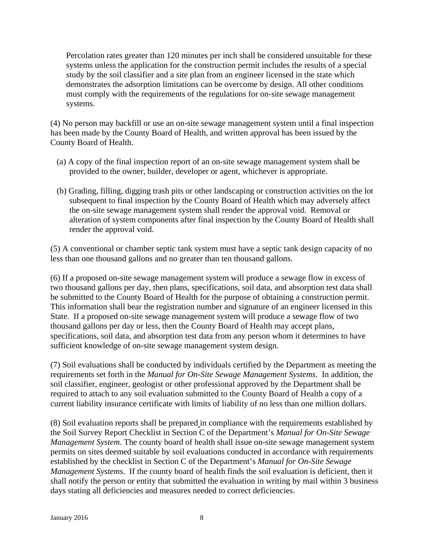Percolation rates greater than 120 minutes per inch shall be considered unsuitable for these systems unless the application for the construction permit includes the results of a special study by the soil classifier and a site plan from an engineer licensed in the state which demonstrates the adsorption limitations can be overcome by design. All other conditions must comply with the requirements of the regulations for on-site sewage management systems.

(4) No person may backfill or use an on-site sewage management system until a final inspection has been made by the County Board of Health, and written approval has been issued by the County Board of Health.

- (a) A copy of the final inspection report of an on-site sewage management system shall be provided to the owner, builder, developer or agent, whichever is appropriate.
- (b) Grading, filling, digging trash pits or other landscaping or construction activities on the lot subsequent to final inspection by the County Board of Health which may adversely affect the on-site sewage management system shall render the approval void. Removal or alteration of system components after final inspection by the County Board of Health shall render the approval void.

(5) A conventional or chamber septic tank system must have a septic tank design capacity of no less than one thousand gallons and no greater than ten thousand gallons.

(6) If a proposed on-site sewage management system will produce a sewage flow in excess of two thousand gallons per day, then plans, specifications, soil data, and absorption test data shall be submitted to the County Board of Health for the purpose of obtaining a construction permit. This information shall bear the registration number and signature of an engineer licensed in this State. If a proposed on-site sewage management system will produce a sewage flow of two thousand gallons per day or less, then the County Board of Health may accept plans, specifications, soil data, and absorption test data from any person whom it determines to have sufficient knowledge of on-site sewage management system design.

(7) Soil evaluations shall be conducted by individuals certified by the Department as meeting the requirements set forth in the *Manual for On-Site Sewage Management Systems*. In addition, the soil classifier, engineer, geologist or other professional approved by the Department shall be required to attach to any soil evaluation submitted to the County Board of Health a copy of a current liability insurance certificate with limits of liability of no less than one million dollars.

(8) Soil evaluation reports shall be prepared in compliance with the requirements established by the Soil Survey Report Checklist in Section C of the Department's *Manual for On-Site Sewage Management System*. The county board of health shall issue on-site sewage management system permits on sites deemed suitable by soil evaluations conducted in accordance with requirements established by the checklist in Section C of the Department's *Manual for On-Site Sewage Management Systems*. If the county board of health finds the soil evaluation is deficient, then it shall notify the person or entity that submitted the evaluation in writing by mail within 3 business days stating all deficiencies and measures needed to correct deficiencies.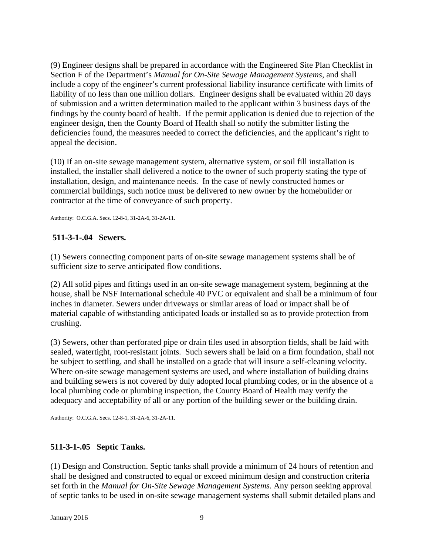(9) Engineer designs shall be prepared in accordance with the Engineered Site Plan Checklist in Section F of the Department's *Manual for On-Site Sewage Management Systems*, and shall include a copy of the engineer's current professional liability insurance certificate with limits of liability of no less than one million dollars. Engineer designs shall be evaluated within 20 days of submission and a written determination mailed to the applicant within 3 business days of the findings by the county board of health. If the permit application is denied due to rejection of the engineer design, then the County Board of Health shall so notify the submitter listing the deficiencies found, the measures needed to correct the deficiencies, and the applicant's right to appeal the decision.

(10) If an on-site sewage management system, alternative system, or soil fill installation is installed, the installer shall delivered a notice to the owner of such property stating the type of installation, design, and maintenance needs. In the case of newly constructed homes or commercial buildings, such notice must be delivered to new owner by the homebuilder or contractor at the time of conveyance of such property.

Authority: O.C.G.A. Secs. 12-8-1, 31-2A-6, 31-2A-11.

#### **511-3-1-.04 Sewers.**

(1) Sewers connecting component parts of on-site sewage management systems shall be of sufficient size to serve anticipated flow conditions.

(2) All solid pipes and fittings used in an on-site sewage management system, beginning at the house, shall be NSF International schedule 40 PVC or equivalent and shall be a minimum of four inches in diameter. Sewers under driveways or similar areas of load or impact shall be of material capable of withstanding anticipated loads or installed so as to provide protection from crushing.

(3) Sewers, other than perforated pipe or drain tiles used in absorption fields, shall be laid with sealed, watertight, root-resistant joints. Such sewers shall be laid on a firm foundation, shall not be subject to settling, and shall be installed on a grade that will insure a self-cleaning velocity. Where on-site sewage management systems are used, and where installation of building drains and building sewers is not covered by duly adopted local plumbing codes, or in the absence of a local plumbing code or plumbing inspection, the County Board of Health may verify the adequacy and acceptability of all or any portion of the building sewer or the building drain.

Authority: O.C.G.A. Secs. 12-8-1, 31-2A-6, 31-2A-11.

## **511-3-1-.05 Septic Tanks.**

(1) Design and Construction. Septic tanks shall provide a minimum of 24 hours of retention and shall be designed and constructed to equal or exceed minimum design and construction criteria set forth in the *Manual for On-Site Sewage Management Systems*. Any person seeking approval of septic tanks to be used in on-site sewage management systems shall submit detailed plans and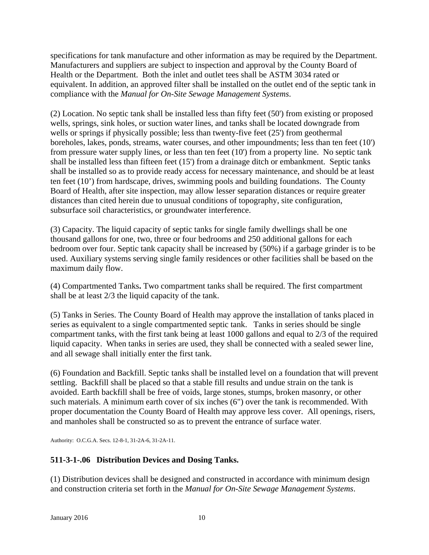specifications for tank manufacture and other information as may be required by the Department. Manufacturers and suppliers are subject to inspection and approval by the County Board of Health or the Department. Both the inlet and outlet tees shall be ASTM 3034 rated or equivalent. In addition, an approved filter shall be installed on the outlet end of the septic tank in compliance with the *Manual for On-Site Sewage Management Systems*.

(2) Location. No septic tank shall be installed less than fifty feet (50') from existing or proposed wells, springs, sink holes, or suction water lines, and tanks shall be located downgrade from wells or springs if physically possible; less than twenty-five feet (25') from geothermal boreholes, lakes, ponds, streams, water courses, and other impoundments; less than ten feet (10') from pressure water supply lines, or less than ten feet (10') from a property line. No septic tank shall be installed less than fifteen feet (15') from a drainage ditch or embankment. Septic tanks shall be installed so as to provide ready access for necessary maintenance, and should be at least ten feet (10') from hardscape, drives, swimming pools and building foundations. The County Board of Health, after site inspection, may allow lesser separation distances or require greater distances than cited herein due to unusual conditions of topography, site configuration, subsurface soil characteristics, or groundwater interference.

(3) Capacity. The liquid capacity of septic tanks for single family dwellings shall be one thousand gallons for one, two, three or four bedrooms and 250 additional gallons for each bedroom over four. Septic tank capacity shall be increased by (50%) if a garbage grinder is to be used. Auxiliary systems serving single family residences or other facilities shall be based on the maximum daily flow.

(4) Compartmented Tanks**.** Two compartment tanks shall be required. The first compartment shall be at least 2/3 the liquid capacity of the tank.

(5) Tanks in Series. The County Board of Health may approve the installation of tanks placed in series as equivalent to a single compartmented septic tank. Tanks in series should be single compartment tanks, with the first tank being at least 1000 gallons and equal to 2/3 of the required liquid capacity. When tanks in series are used, they shall be connected with a sealed sewer line, and all sewage shall initially enter the first tank.

(6) Foundation and Backfill. Septic tanks shall be installed level on a foundation that will prevent settling. Backfill shall be placed so that a stable fill results and undue strain on the tank is avoided. Earth backfill shall be free of voids, large stones, stumps, broken masonry, or other such materials. A minimum earth cover of six inches (6") over the tank is recommended. With proper documentation the County Board of Health may approve less cover. All openings, risers, and manholes shall be constructed so as to prevent the entrance of surface water.

Authority: O.C.G.A. Secs. 12-8-1, 31-2A-6, 31-2A-11.

# **511-3-1-.06 Distribution Devices and Dosing Tanks.**

(1) Distribution devices shall be designed and constructed in accordance with minimum design and construction criteria set forth in the *Manual for On-Site Sewage Management Systems*.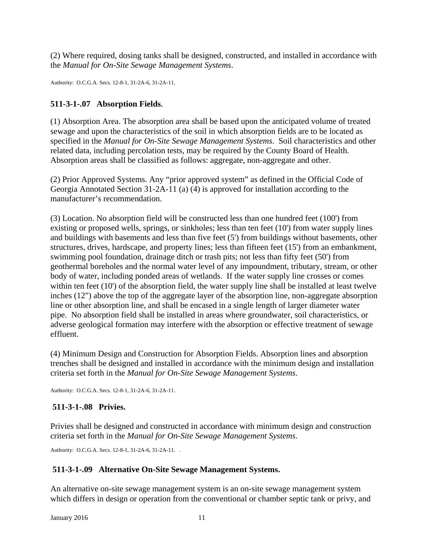(2) Where required, dosing tanks shall be designed, constructed, and installed in accordance with the *Manual for On-Site Sewage Management Systems*.

Authority: O.C.G.A. Secs. 12-8-1, 31-2A-6, 31-2A-11.

## **511-3-1-.07 Absorption Fields.**

(1) Absorption Area. The absorption area shall be based upon the anticipated volume of treated sewage and upon the characteristics of the soil in which absorption fields are to be located as specified in the *Manual for On-Site Sewage Management Systems*. Soil characteristics and other related data, including percolation tests, may be required by the County Board of Health. Absorption areas shall be classified as follows: aggregate, non-aggregate and other.

(2) Prior Approved Systems. Any "prior approved system" as defined in the Official Code of Georgia Annotated Section 31-2A-11 (a) (4) is approved for installation according to the manufacturer's recommendation.

(3) Location. No absorption field will be constructed less than one hundred feet (100') from existing or proposed wells, springs, or sinkholes; less than ten feet (10') from water supply lines and buildings with basements and less than five feet (5') from buildings without basements, other structures, drives, hardscape, and property lines; less than fifteen feet (15') from an embankment, swimming pool foundation, drainage ditch or trash pits; not less than fifty feet (50') from geothermal boreholes and the normal water level of any impoundment, tributary, stream, or other body of water, including ponded areas of wetlands. If the water supply line crosses or comes within ten feet (10') of the absorption field, the water supply line shall be installed at least twelve inches (12") above the top of the aggregate layer of the absorption line, non-aggregate absorption line or other absorption line, and shall be encased in a single length of larger diameter water pipe. No absorption field shall be installed in areas where groundwater, soil characteristics, or adverse geological formation may interfere with the absorption or effective treatment of sewage effluent.

(4) Minimum Design and Construction for Absorption Fields. Absorption lines and absorption trenches shall be designed and installed in accordance with the minimum design and installation criteria set forth in the *Manual for On-Site Sewage Management Systems*.

Authority: O.C.G.A. Secs. 12-8-1, 31-2A-6, 31-2A-11.

# **511-3-1-.08 Privies.**

Privies shall be designed and constructed in accordance with minimum design and construction criteria set forth in the *Manual for On-Site Sewage Management Systems*.

Authority: O.C.G.A. Secs. 12-8-1, 31-2A-6, 31-2A-11. .

## **511-3-1-.09 Alternative On-Site Sewage Management Systems.**

An alternative on-site sewage management system is an on-site sewage management system which differs in design or operation from the conventional or chamber septic tank or privy, and

**January 2016** 11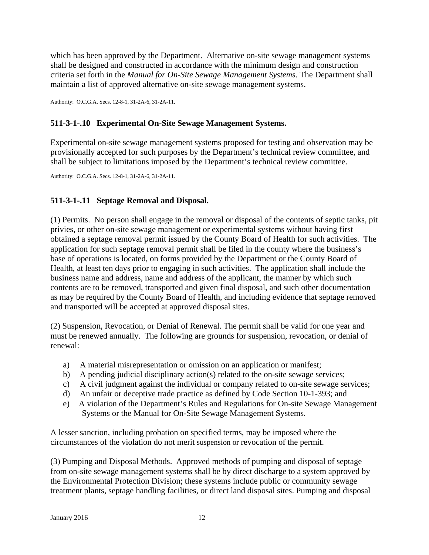which has been approved by the Department. Alternative on-site sewage management systems shall be designed and constructed in accordance with the minimum design and construction criteria set forth in the *Manual for On-Site Sewage Management Systems*. The Department shall maintain a list of approved alternative on-site sewage management systems.

Authority: O.C.G.A. Secs. 12-8-1, 31-2A-6, 31-2A-11.

# **511-3-1-.10 Experimental On-Site Sewage Management Systems.**

Experimental on-site sewage management systems proposed for testing and observation may be provisionally accepted for such purposes by the Department's technical review committee, and shall be subject to limitations imposed by the Department's technical review committee.

Authority: O.C.G.A. Secs. 12-8-1, 31-2A-6, 31-2A-11.

# **511-3-1-.11 Septage Removal and Disposal.**

(1) Permits.No person shall engage in the removal or disposal of the contents of septic tanks, pit privies, or other on-site sewage management or experimental systems without having first obtained a septage removal permit issued by the County Board of Health for such activities. The application for such septage removal permit shall be filed in the county where the business's base of operations is located, on forms provided by the Department or the County Board of Health, at least ten days prior to engaging in such activities. The application shall include the business name and address, name and address of the applicant, the manner by which such contents are to be removed, transported and given final disposal, and such other documentation as may be required by the County Board of Health, and including evidence that septage removed and transported will be accepted at approved disposal sites.

(2) Suspension, Revocation, or Denial of Renewal. The permit shall be valid for one year and must be renewed annually. The following are grounds for suspension, revocation, or denial of renewal:

- a) A material misrepresentation or omission on an application or manifest;
- b) A pending judicial disciplinary action(s) related to the on-site sewage services;
- c) A civil judgment against the individual or company related to on-site sewage services;
- d) An unfair or deceptive trade practice as defined by Code Section 10-1-393; and
- e) A violation of the Department's Rules and Regulations for On-site Sewage Management Systems or the Manual for On-Site Sewage Management Systems.

A lesser sanction, including probation on specified terms, may be imposed where the circumstances of the violation do not merit suspension or revocation of the permit.

(3) Pumping and Disposal Methods. Approved methods of pumping and disposal of septage from on-site sewage management systems shall be by direct discharge to a system approved by the Environmental Protection Division; these systems include public or community sewage treatment plants, septage handling facilities, or direct land disposal sites. Pumping and disposal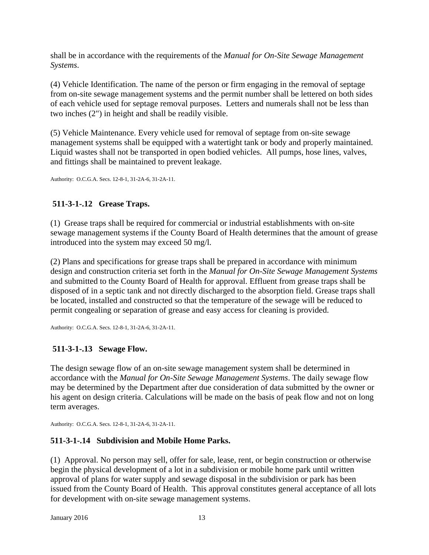shall be in accordance with the requirements of the *Manual for On-Site Sewage Management Systems*.

(4) Vehicle Identification. The name of the person or firm engaging in the removal of septage from on-site sewage management systems and the permit number shall be lettered on both sides of each vehicle used for septage removal purposes. Letters and numerals shall not be less than two inches (2") in height and shall be readily visible.

(5) Vehicle Maintenance. Every vehicle used for removal of septage from on-site sewage management systems shall be equipped with a watertight tank or body and properly maintained. Liquid wastes shall not be transported in open bodied vehicles. All pumps, hose lines, valves, and fittings shall be maintained to prevent leakage.

Authority: O.C.G.A. Secs. 12-8-1, 31-2A-6, 31-2A-11.

# **511-3-1-.12 Grease Traps.**

(1)Grease traps shall be required for commercial or industrial establishments with on-site sewage management systems if the County Board of Health determines that the amount of grease introduced into the system may exceed 50 mg/l.

(2) Plans and specifications for grease traps shall be prepared in accordance with minimum design and construction criteria set forth in the *Manual for On-Site Sewage Management Systems* and submitted to the County Board of Health for approval. Effluent from grease traps shall be disposed of in a septic tank and not directly discharged to the absorption field. Grease traps shall be located, installed and constructed so that the temperature of the sewage will be reduced to permit congealing or separation of grease and easy access for cleaning is provided.

Authority: O.C.G.A. Secs. 12-8-1, 31-2A-6, 31-2A-11.

# **511-3-1-.13 Sewage Flow.**

The design sewage flow of an on-site sewage management system shall be determined in accordance with the *Manual for On-Site Sewage Management Systems*. The daily sewage flow may be determined by the Department after due consideration of data submitted by the owner or his agent on design criteria. Calculations will be made on the basis of peak flow and not on long term averages.

Authority: O.C.G.A. Secs. 12-8-1, 31-2A-6, 31-2A-11.

# **511-3-1-.14 Subdivision and Mobile Home Parks.**

(1) Approval. No person may sell, offer for sale, lease, rent, or begin construction or otherwise begin the physical development of a lot in a subdivision or mobile home park until written approval of plans for water supply and sewage disposal in the subdivision or park has been issued from the County Board of Health. This approval constitutes general acceptance of all lots for development with on-site sewage management systems.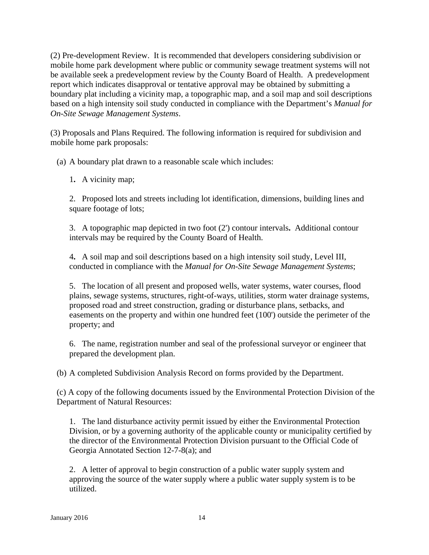(2) Pre-development Review. It is recommended that developers considering subdivision or mobile home park development where public or community sewage treatment systems will not be available seek a predevelopment review by the County Board of Health. A predevelopment report which indicates disapproval or tentative approval may be obtained by submitting a boundary plat including a vicinity map, a topographic map, and a soil map and soil descriptions based on a high intensity soil study conducted in compliance with the Department's *Manual for On-Site Sewage Management Systems*.

(3) Proposals and Plans Required. The following information is required for subdivision and mobile home park proposals:

(a) A boundary plat drawn to a reasonable scale which includes:

1**.** A vicinity map;

2.Proposed lots and streets including lot identification, dimensions, building lines and square footage of lots;

3. A topographic map depicted in two foot (2') contour intervals**.** Additional contour intervals may be required by the County Board of Health.

4**.** A soil map and soil descriptions based on a high intensity soil study, Level III, conducted in compliance with the *Manual for On-Site Sewage Management Systems*;

5. The location of all present and proposed wells, water systems, water courses, flood plains, sewage systems, structures, right-of-ways, utilities, storm water drainage systems, proposed road and street construction, grading or disturbance plans, setbacks, and easements on the property and within one hundred feet (100') outside the perimeter of the property; and

6. The name, registration number and seal of the professional surveyor or engineer that prepared the development plan.

(b) A completed Subdivision Analysis Record on forms provided by the Department.

(c) A copy of the following documents issued by the Environmental Protection Division of the Department of Natural Resources:

1. The land disturbance activity permit issued by either the Environmental Protection Division, or by a governing authority of the applicable county or municipality certified by the director of the Environmental Protection Division pursuant to the Official Code of Georgia Annotated Section 12-7-8(a); and

2. A letter of approval to begin construction of a public water supply system and approving the source of the water supply where a public water supply system is to be utilized.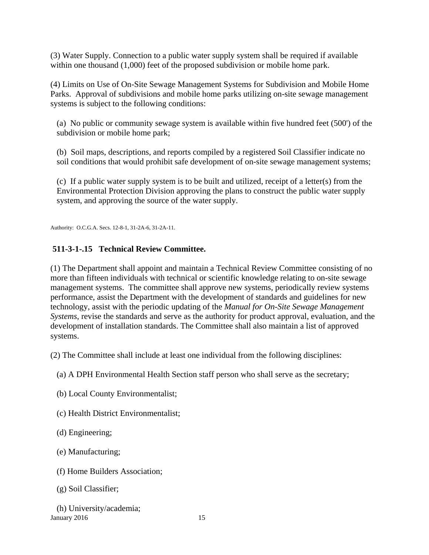(3) Water Supply. Connection to a public water supply system shall be required if available within one thousand (1,000) feet of the proposed subdivision or mobile home park.

(4) Limits on Use of On-Site Sewage Management Systems for Subdivision and Mobile Home Parks.Approval of subdivisions and mobile home parks utilizing on-site sewage management systems is subject to the following conditions:

 (a) No public or community sewage system is available within five hundred feet (500') of the subdivision or mobile home park;

 (b) Soil maps, descriptions, and reports compiled by a registered Soil Classifier indicate no soil conditions that would prohibit safe development of on-site sewage management systems;

(c) If a public water supply system is to be built and utilized, receipt of a letter(s) from the Environmental Protection Division approving the plans to construct the public water supply system, and approving the source of the water supply.

Authority: O.C.G.A. Secs. 12-8-1, 31-2A-6, 31-2A-11.

## **511-3-1-.15 Technical Review Committee.**

(1) The Department shall appoint and maintain a Technical Review Committee consisting of no more than fifteen individuals with technical or scientific knowledge relating to on-site sewage management systems. The committee shall approve new systems, periodically review systems performance, assist the Department with the development of standards and guidelines for new technology, assist with the periodic updating of the *Manual for On-Site Sewage Management Systems*, revise the standards and serve as the authority for product approval, evaluation, and the development of installation standards. The Committee shall also maintain a list of approved systems.

(2) The Committee shall include at least one individual from the following disciplines:

(a) A DPH Environmental Health Section staff person who shall serve as the secretary;

(b) Local County Environmentalist;

(c) Health District Environmentalist;

(d) Engineering;

(e) Manufacturing;

(f) Home Builders Association;

(g) Soil Classifier;

**January 2016** 15 (h) University/academia;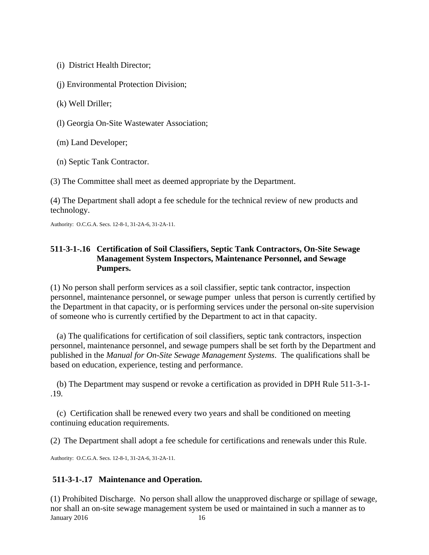(i) District Health Director;

(j) Environmental Protection Division;

(k) Well Driller;

(l) Georgia On-Site Wastewater Association;

(m) Land Developer;

(n) Septic Tank Contractor.

(3) The Committee shall meet as deemed appropriate by the Department.

(4) The Department shall adopt a fee schedule for the technical review of new products and technology.

Authority: O.C.G.A. Secs. 12-8-1, 31-2A-6, 31-2A-11.

## **511-3-1-.16 Certification of Soil Classifiers, Septic Tank Contractors, On-Site Sewage Management System Inspectors, Maintenance Personnel, and Sewage Pumpers.**

(1) No person shall perform services as a soil classifier, septic tank contractor, inspection personnel, maintenance personnel, or sewage pumper unless that person is currently certified by the Department in that capacity, or is performing services under the personal on-site supervision of someone who is currently certified by the Department to act in that capacity.

 (a) The qualifications for certification of soil classifiers, septic tank contractors, inspection personnel, maintenance personnel, and sewage pumpers shall be set forth by the Department and published in the *Manual for On-Site Sewage Management Systems*. The qualifications shall be based on education, experience, testing and performance.

 (b) The Department may suspend or revoke a certification as provided in DPH Rule 511-3-1- .19*.*

 (c) Certification shall be renewed every two years and shall be conditioned on meeting continuing education requirements.

(2) The Department shall adopt a fee schedule for certifications and renewals under this Rule.

Authority: O.C.G.A. Secs. 12-8-1, 31-2A-6, 31-2A-11.

## **511-3-1-.17 Maintenance and Operation.**

January 2016 16 (1) Prohibited Discharge. No person shall allow the unapproved discharge or spillage of sewage, nor shall an on-site sewage management system be used or maintained in such a manner as to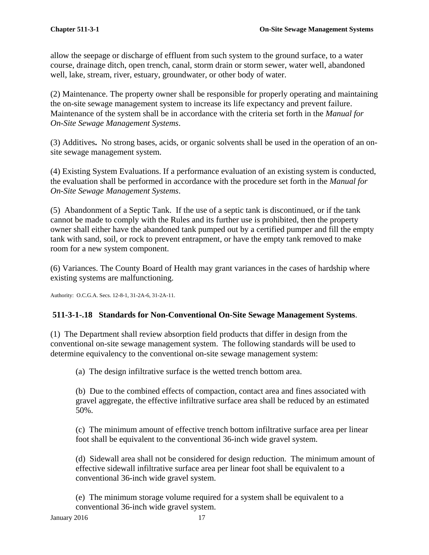allow the seepage or discharge of effluent from such system to the ground surface, to a water course, drainage ditch, open trench, canal, storm drain or storm sewer, water well, abandoned well, lake, stream, river, estuary, groundwater, or other body of water.

(2) Maintenance. The property owner shall be responsible for properly operating and maintaining the on-site sewage management system to increase its life expectancy and prevent failure. Maintenance of the system shall be in accordance with the criteria set forth in the *Manual for On-Site Sewage Management Systems*.

(3) Additives**.** No strong bases, acids, or organic solvents shall be used in the operation of an onsite sewage management system.

(4) Existing System Evaluations. If a performance evaluation of an existing system is conducted, the evaluation shall be performed in accordance with the procedure set forth in the *Manual for On-Site Sewage Management Systems*.

(5) Abandonment of a Septic Tank. If the use of a septic tank is discontinued, or if the tank cannot be made to comply with the Rules and its further use is prohibited, then the property owner shall either have the abandoned tank pumped out by a certified pumper and fill the empty tank with sand, soil, or rock to prevent entrapment, or have the empty tank removed to make room for a new system component.

(6) Variances. The County Board of Health may grant variances in the cases of hardship where existing systems are malfunctioning.

Authority: O.C.G.A. Secs. 12-8-1, 31-2A-6, 31-2A-11.

# **511-3-1-.18 Standards for Non-Conventional On-Site Sewage Management Systems**.

(1) The Department shall review absorption field products that differ in design from the conventional on-site sewage management system. The following standards will be used to determine equivalency to the conventional on-site sewage management system:

(a) The design infiltrative surface is the wetted trench bottom area.

 (b) Due to the combined effects of compaction, contact area and fines associated with gravel aggregate, the effective infiltrative surface area shall be reduced by an estimated 50%.

 (c) The minimum amount of effective trench bottom infiltrative surface area per linear foot shall be equivalent to the conventional 36-inch wide gravel system.

 (d) Sidewall area shall not be considered for design reduction. The minimum amount of effective sidewall infiltrative surface area per linear foot shall be equivalent to a conventional 36-inch wide gravel system.

 (e) The minimum storage volume required for a system shall be equivalent to a conventional 36-inch wide gravel system.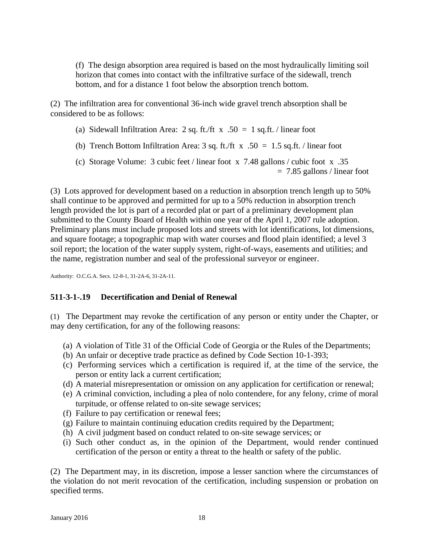(f) The design absorption area required is based on the most hydraulically limiting soil horizon that comes into contact with the infiltrative surface of the sidewall, trench bottom, and for a distance 1 foot below the absorption trench bottom.

(2) The infiltration area for conventional 36-inch wide gravel trench absorption shall be considered to be as follows:

- (a) Sidewall Infiltration Area: 2 sq. ft./ft  $x .50 = 1$  sq.ft. / linear foot
- (b) Trench Bottom Infiltration Area: 3 sq. ft./ft  $x$  .50 = 1.5 sq.ft. / linear foot
- (c) Storage Volume: 3 cubic feet / linear foot x 7.48 gallons / cubic foot x .35 = 7.85 gallons / linear foot

(3) Lots approved for development based on a reduction in absorption trench length up to 50% shall continue to be approved and permitted for up to a 50% reduction in absorption trench length provided the lot is part of a recorded plat or part of a preliminary development plan submitted to the County Board of Health within one year of the April 1, 2007 rule adoption. Preliminary plans must include proposed lots and streets with lot identifications, lot dimensions, and square footage; a topographic map with water courses and flood plain identified; a level 3 soil report; the location of the water supply system, right-of-ways, easements and utilities; and the name, registration number and seal of the professional surveyor or engineer.

Authority: O.C.G.A. Secs. 12-8-1, 31-2A-6, 31-2A-11.

## **511-3-1-.19 Decertification and Denial of Renewal**

(1) The Department may revoke the certification of any person or entity under the Chapter, or may deny certification, for any of the following reasons:

- (a) A violation of Title 31 of the Official Code of Georgia or the Rules of the Departments;
- (b) An unfair or deceptive trade practice as defined by Code Section 10-1-393;
- (c) Performing services which a certification is required if, at the time of the service, the person or entity lack a current certification;
- (d) A material misrepresentation or omission on any application for certification or renewal;
- (e) A criminal conviction, including a plea of nolo contendere, for any felony, crime of moral turpitude, or offense related to on-site sewage services;
- (f) Failure to pay certification or renewal fees;
- (g) Failure to maintain continuing education credits required by the Department;
- (h) A civil judgment based on conduct related to on-site sewage services; or
- (i) Such other conduct as, in the opinion of the Department, would render continued certification of the person or entity a threat to the health or safety of the public.

(2) The Department may, in its discretion, impose a lesser sanction where the circumstances of the violation do not merit revocation of the certification, including suspension or probation on specified terms.